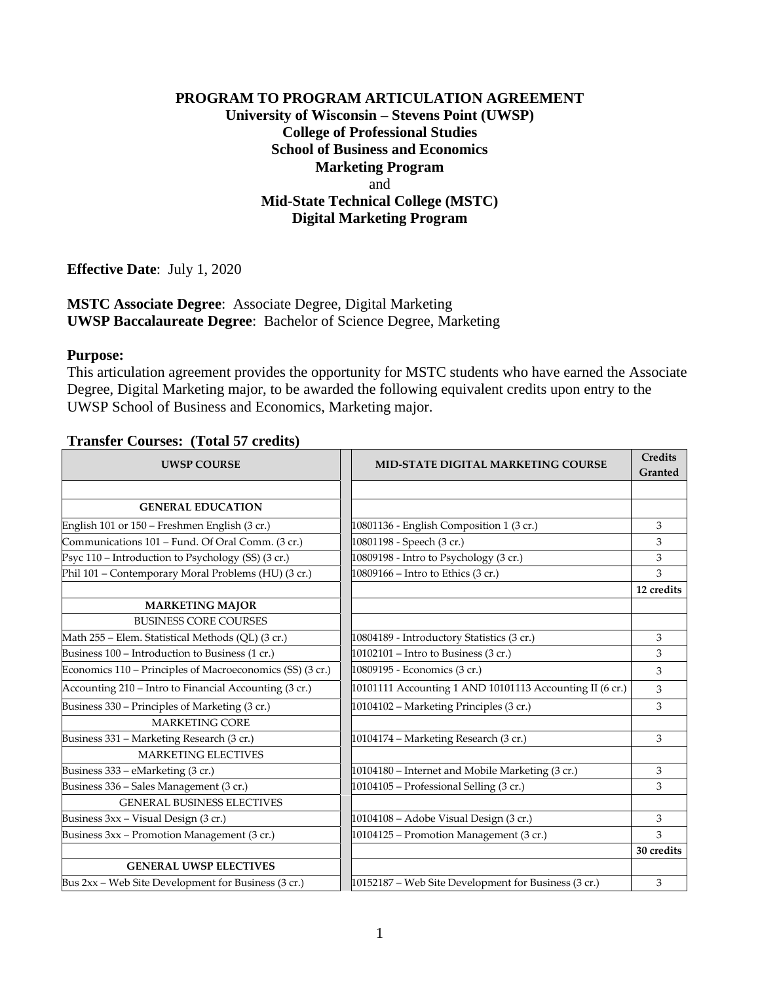## **PROGRAM TO PROGRAM ARTICULATION AGREEMENT University of Wisconsin – Stevens Point (UWSP) College of Professional Studies School of Business and Economics Marketing Program** and **Mid-State Technical College (MSTC) Digital Marketing Program**

**Effective Date**: July 1, 2020

#### **MSTC Associate Degree**: Associate Degree, Digital Marketing **UWSP Baccalaureate Degree**: Bachelor of Science Degree, Marketing

#### **Purpose:**

This articulation agreement provides the opportunity for MSTC students who have earned the Associate Degree, Digital Marketing major, to be awarded the following equivalent credits upon entry to the UWSP School of Business and Economics, Marketing major.

### **Transfer Courses: (Total 57 credits)**

| <b>UWSP COURSE</b>                                        | <b>MID-STATE DIGITAL MARKETING COURSE</b>                | <b>Credits</b><br>Granted |
|-----------------------------------------------------------|----------------------------------------------------------|---------------------------|
|                                                           |                                                          |                           |
| <b>GENERAL EDUCATION</b>                                  |                                                          |                           |
| English 101 or 150 - Freshmen English (3 cr.)             | 10801136 - English Composition 1 (3 cr.)                 | 3                         |
| Communications 101 - Fund. Of Oral Comm. (3 cr.)          | 10801198 - Speech (3 cr.)                                | 3                         |
| Psyc 110 - Introduction to Psychology (SS) (3 cr.)        | 10809198 - Intro to Psychology (3 cr.)                   | 3                         |
| Phil 101 - Contemporary Moral Problems (HU) (3 cr.)       | 10809166 - Intro to Ethics (3 cr.)                       | 3                         |
|                                                           |                                                          | 12 credits                |
| <b>MARKETING MAJOR</b>                                    |                                                          |                           |
| <b>BUSINESS CORE COURSES</b>                              |                                                          |                           |
| Math 255 - Elem. Statistical Methods (QL) (3 cr.)         | 10804189 - Introductory Statistics (3 cr.)               | 3                         |
| Business 100 - Introduction to Business (1 cr.)           | 10102101 - Intro to Business (3 cr.)                     | 3                         |
| Economics 110 - Principles of Macroeconomics (SS) (3 cr.) | 10809195 - Economics (3 cr.)                             | 3                         |
| Accounting 210 - Intro to Financial Accounting (3 cr.)    | 10101111 Accounting 1 AND 10101113 Accounting II (6 cr.) | 3                         |
| Business 330 – Principles of Marketing (3 cr.)            | 10104102 - Marketing Principles (3 cr.)                  | 3                         |
| <b>MARKETING CORE</b>                                     |                                                          |                           |
| Business 331 - Marketing Research (3 cr.)                 | 10104174 - Marketing Research (3 cr.)                    | 3                         |
| <b>MARKETING ELECTIVES</b>                                |                                                          |                           |
| Business 333 - eMarketing (3 cr.)                         | 10104180 - Internet and Mobile Marketing (3 cr.)         | 3                         |
| Business 336 - Sales Management (3 cr.)                   | 10104105 - Professional Selling (3 cr.)                  | 3                         |
| <b>GENERAL BUSINESS ELECTIVES</b>                         |                                                          |                           |
| Business 3xx - Visual Design (3 cr.)                      | 10104108 - Adobe Visual Design (3 cr.)                   | 3                         |
| Business 3xx - Promotion Management (3 cr.)               | 10104125 - Promotion Management (3 cr.)                  | 3                         |
|                                                           |                                                          | 30 credits                |
| <b>GENERAL UWSP ELECTIVES</b>                             |                                                          |                           |
| Bus 2xx - Web Site Development for Business (3 cr.)       | 10152187 - Web Site Development for Business (3 cr.)     | 3                         |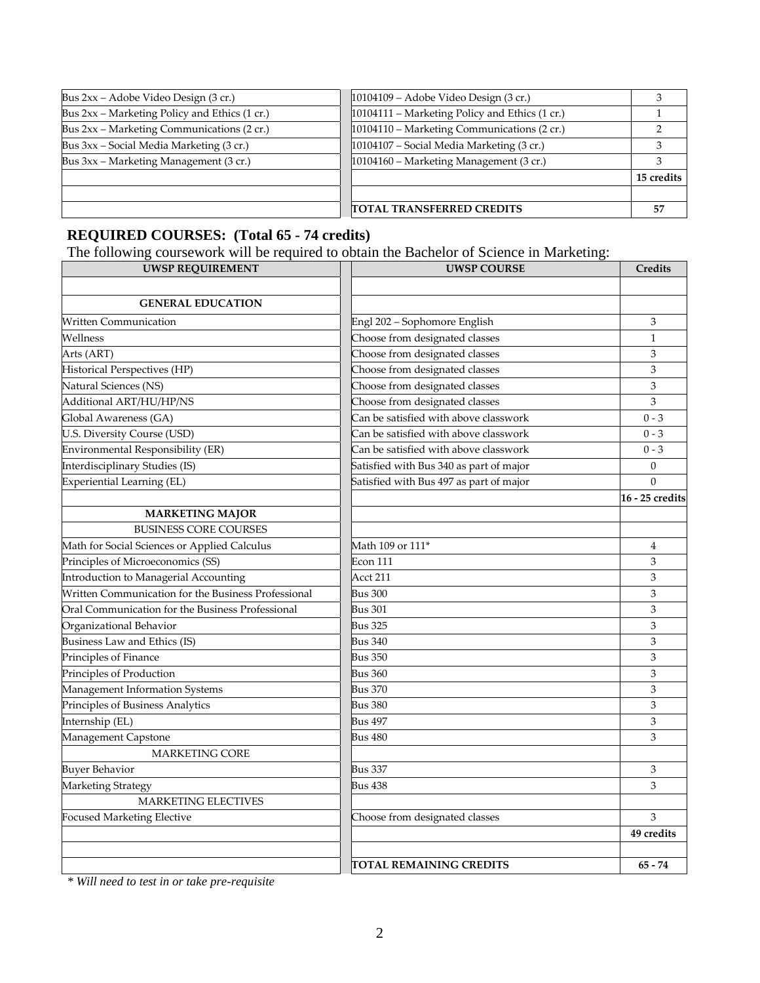| Bus 2xx – Adobe Video Design (3 cr.)          | 10104109 - Adobe Video Design (3 cr.)          |            |
|-----------------------------------------------|------------------------------------------------|------------|
| Bus 2xx – Marketing Policy and Ethics (1 cr.) | 10104111 - Marketing Policy and Ethics (1 cr.) |            |
| Bus 2xx – Marketing Communications (2 cr.)    | 10104110 - Marketing Communications (2 cr.)    |            |
| Bus 3xx – Social Media Marketing (3 cr.)      | 10104107 - Social Media Marketing (3 cr.)      |            |
| Bus 3xx - Marketing Management (3 cr.)        | 10104160 - Marketing Management (3 cr.)        |            |
|                                               |                                                | 15 credits |
|                                               |                                                |            |
|                                               | <b>TOTAL TRANSFERRED CREDITS</b>               | 57         |

# **REQUIRED COURSES: (Total 65 - 74 credits)**

The following coursework will be required to obtain the Bachelor of Science in Marketing:

| <b>UWSP REQUIREMENT</b>                             | <b>UWSP COURSE</b>                      | Credits         |
|-----------------------------------------------------|-----------------------------------------|-----------------|
|                                                     |                                         |                 |
| <b>GENERAL EDUCATION</b>                            |                                         |                 |
| Written Communication                               | Engl 202 - Sophomore English            | 3               |
| Wellness                                            | Choose from designated classes          | 1               |
| Arts (ART)                                          | Choose from designated classes          | $\mathfrak z$   |
| Historical Perspectives (HP)                        | Choose from designated classes          | 3               |
| Natural Sciences (NS)                               | Choose from designated classes          | 3               |
| Additional ART/HU/HP/NS                             | Choose from designated classes          | 3               |
| Global Awareness (GA)                               | Can be satisfied with above classwork   | $0 - 3$         |
| U.S. Diversity Course (USD)                         | Can be satisfied with above classwork   | $0 - 3$         |
| Environmental Responsibility (ER)                   | Can be satisfied with above classwork   | $0 - 3$         |
| Interdisciplinary Studies (IS)                      | Satisfied with Bus 340 as part of major | $\theta$        |
| Experiential Learning (EL)                          | Satisfied with Bus 497 as part of major | $\Omega$        |
|                                                     |                                         | 16 - 25 credits |
| <b>MARKETING MAJOR</b>                              |                                         |                 |
| <b>BUSINESS CORE COURSES</b>                        |                                         |                 |
| Math for Social Sciences or Applied Calculus        | Math 109 or 111*                        | 4               |
| Principles of Microeconomics (SS)                   | <b>Econ 111</b>                         | 3               |
| Introduction to Managerial Accounting               | Acct 211                                | 3               |
| Written Communication for the Business Professional | <b>Bus 300</b>                          | 3               |
| Oral Communication for the Business Professional    | <b>Bus 301</b>                          | 3               |
| Organizational Behavior                             | <b>Bus 325</b>                          | 3               |
| Business Law and Ethics (IS)                        | <b>Bus 340</b>                          | 3               |
| Principles of Finance                               | <b>Bus 350</b>                          | $\mathfrak z$   |
| Principles of Production                            | <b>Bus 360</b>                          | 3               |
| Management Information Systems                      | <b>Bus 370</b>                          | 3               |
| Principles of Business Analytics                    | <b>Bus 380</b>                          | $\mathfrak z$   |
| Internship (EL)                                     | <b>Bus 497</b>                          | $\mathfrak z$   |
| Management Capstone                                 | <b>Bus 480</b>                          | 3               |
| <b>MARKETING CORE</b>                               |                                         |                 |
| <b>Buyer Behavior</b>                               | Bus 337                                 | 3               |
| Marketing Strategy                                  | <b>Bus 438</b>                          | 3               |
| <b>MARKETING ELECTIVES</b>                          |                                         |                 |
| <b>Focused Marketing Elective</b>                   | Choose from designated classes          | 3               |
|                                                     |                                         | 49 credits      |
|                                                     |                                         |                 |
|                                                     | TOTAL REMAINING CREDITS                 | $65 - 74$       |

*\* Will need to test in or take pre-requisite*